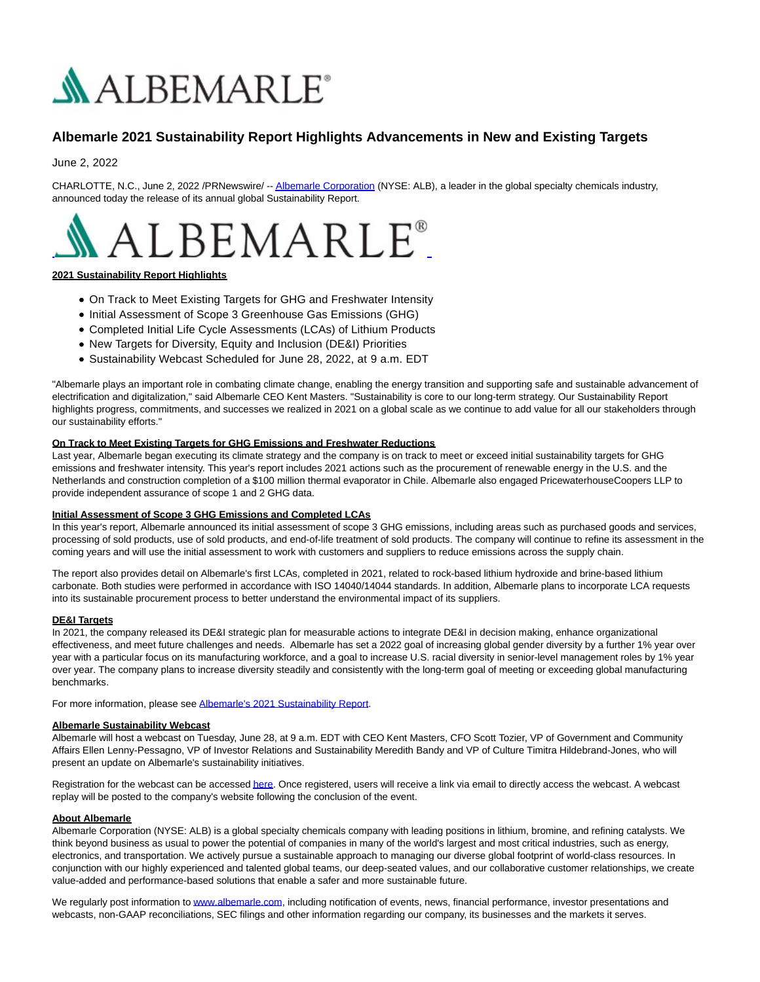

# **Albemarle 2021 Sustainability Report Highlights Advancements in New and Existing Targets**

June 2, 2022

CHARLOTTE, N.C., June 2, 2022 /PRNewswire/ -[- Albemarle Corporation \(](https://c212.net/c/link/?t=0&l=en&o=3556436-1&h=2896835025&u=http%3A%2F%2Fwww.albemarle.com%2F&a=Albemarle+Corporation)NYSE: ALB), a leader in the global specialty chemicals industry, announced today the release of its annual global Sustainability Report.



# **2021 Sustainability Report Highlights**

- On Track to Meet Existing Targets for GHG and Freshwater Intensity
- Initial Assessment of Scope 3 Greenhouse Gas Emissions (GHG)
- Completed Initial Life Cycle Assessments (LCAs) of Lithium Products
- New Targets for Diversity, Equity and Inclusion (DE&I) Priorities
- Sustainability Webcast Scheduled for June 28, 2022, at 9 a.m. EDT

"Albemarle plays an important role in combating climate change, enabling the energy transition and supporting safe and sustainable advancement of electrification and digitalization," said Albemarle CEO Kent Masters. "Sustainability is core to our long-term strategy. Our Sustainability Report highlights progress, commitments, and successes we realized in 2021 on a global scale as we continue to add value for all our stakeholders through our sustainability efforts."

### **On Track to Meet Existing Targets for GHG Emissions and Freshwater Reductions**

Last year, Albemarle began executing its climate strategy and the company is on track to meet or exceed initial sustainability targets for GHG emissions and freshwater intensity. This year's report includes 2021 actions such as the procurement of renewable energy in the U.S. and the Netherlands and construction completion of a \$100 million thermal evaporator in Chile. Albemarle also engaged PricewaterhouseCoopers LLP to provide independent assurance of scope 1 and 2 GHG data.

#### **Initial Assessment of Scope 3 GHG Emissions and Completed LCAs**

In this year's report, Albemarle announced its initial assessment of scope 3 GHG emissions, including areas such as purchased goods and services, processing of sold products, use of sold products, and end-of-life treatment of sold products. The company will continue to refine its assessment in the coming years and will use the initial assessment to work with customers and suppliers to reduce emissions across the supply chain.

The report also provides detail on Albemarle's first LCAs, completed in 2021, related to rock-based lithium hydroxide and brine-based lithium carbonate. Both studies were performed in accordance with ISO 14040/14044 standards. In addition, Albemarle plans to incorporate LCA requests into its sustainable procurement process to better understand the environmental impact of its suppliers.

# **DE&I Targets**

In 2021, the company released its DE&I strategic plan for measurable actions to integrate DE&I in decision making, enhance organizational effectiveness, and meet future challenges and needs. Albemarle has set a 2022 goal of increasing global gender diversity by a further 1% year over year with a particular focus on its manufacturing workforce, and a goal to increase U.S. racial diversity in senior-level management roles by 1% year over year. The company plans to increase diversity steadily and consistently with the long-term goal of meeting or exceeding global manufacturing benchmarks.

For more information, please se[e Albemarle's 2021 Sustainability Report.](https://c212.net/c/link/?t=0&l=en&o=3556436-1&h=868372125&u=https%3A%2F%2Fwww.albemarle.com%2Fsustainability%2Fsustainability-reports-%3F_ga%3D2.56181483.132523654.1654087005-694290911.1650996918&a=Albemarle%27s+2021+Sustainability+Report)

#### **Albemarle Sustainability Webcast**

Albemarle will host a webcast on Tuesday, June 28, at 9 a.m. EDT with CEO Kent Masters, CFO Scott Tozier, VP of Government and Community Affairs Ellen Lenny-Pessagno, VP of Investor Relations and Sustainability Meredith Bandy and VP of Culture Timitra Hildebrand-Jones, who will present an update on Albemarle's sustainability initiatives.

Registration for the webcast can be accessed **here**. Once registered, users will receive a link via email to directly access the webcast. A webcast replay will be posted to the company's website following the conclusion of the event.

#### **About Albemarle**

Albemarle Corporation (NYSE: ALB) is a global specialty chemicals company with leading positions in lithium, bromine, and refining catalysts. We think beyond business as usual to power the potential of companies in many of the world's largest and most critical industries, such as energy, electronics, and transportation. We actively pursue a sustainable approach to managing our diverse global footprint of world-class resources. In conjunction with our highly experienced and talented global teams, our deep-seated values, and our collaborative customer relationships, we create value-added and performance-based solutions that enable a safer and more sustainable future.

We regularly post information to [www.albemarle.com,](https://c212.net/c/link/?t=0&l=en&o=3556436-1&h=2192734468&u=http%3A%2F%2Fwww.albemarle.com%2F&a=www.albemarle.com) including notification of events, news, financial performance, investor presentations and webcasts, non-GAAP reconciliations, SEC filings and other information regarding our company, its businesses and the markets it serves.